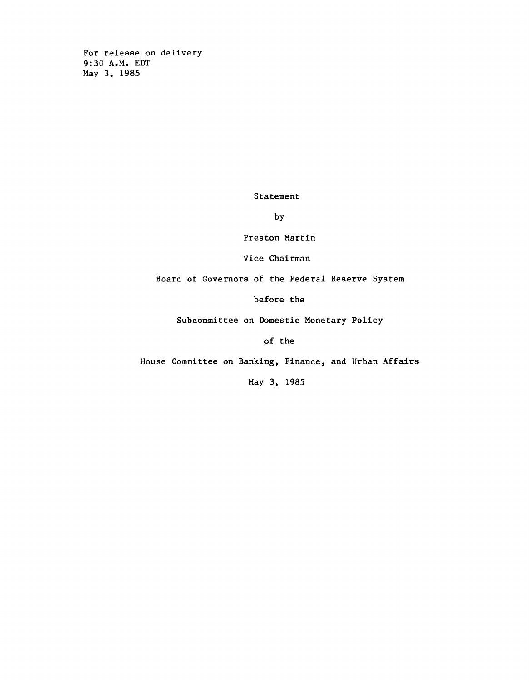**For release on delivery 9:30 A.M. EDT May 3, 1985**

**Statement**

**by**

**Preston Martin**

**Vice Chairman**

**Board of Governors of the Federal Reserve System**

**before the**

**Subcommittee on Domestic Monetary Policy**

**of the**

**House Committee on Banking, Finance, and Urban Affairs**

**May 3, 1985**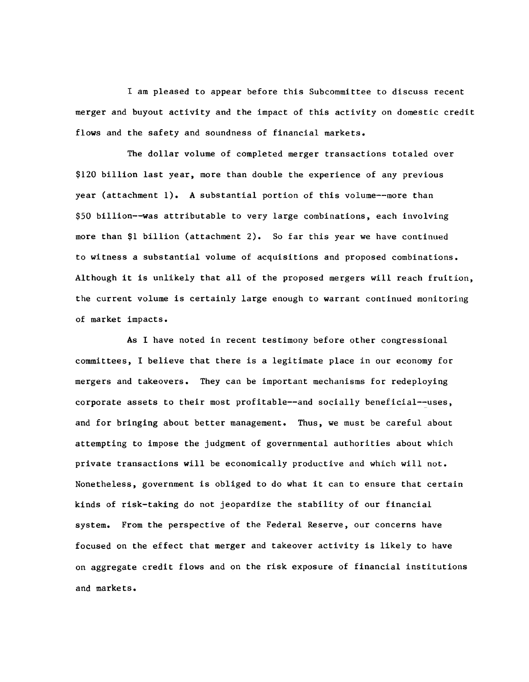**I am pleased to appear before this Subcommittee to discuss recent merger and buyout activity and the impact of this activity on domestic credit** flows and the safety and soundness of financial markets.

**The dollar volume of completed merger transactions totaled over \$120 billion last year, more than double the experience of any previous year (attachment 1). A substantial portion of this volume— more than \$50 billion— was attributable to very large combinations, each involving more than \$1 billion (attachment 2)\* So far this year we have continued to witness a substantial volume of acquisitions and proposed combinations. Although it is unlikely that all of the proposed mergers will reach fruition, the current volume is certainly large enough to warrant continued monitoring of market impacts.**

**As I have noted in recent testimony before other congressional committees, I believe that there is a legitimate place in our economy for mergers and takeovers. They can be important mechanisms for redeploying corporate assets to their most profitable— and socially beneficial— uses, and for bringing about better management. Thus, we must be careful about attempting to impose the judgment of governmental authorities about which private transactions will be economically productive and which will not. Nonetheless, government is obliged to do what it can to ensure that certain kinds of risk-taking do not jeopardize the stability of our financial system. From the perspective of the Federal Reserve, our concerns have focused on the effect that merger and takeover activity is likely to have on aggregate credit flows and on the risk exposure of financial institutions and markets.**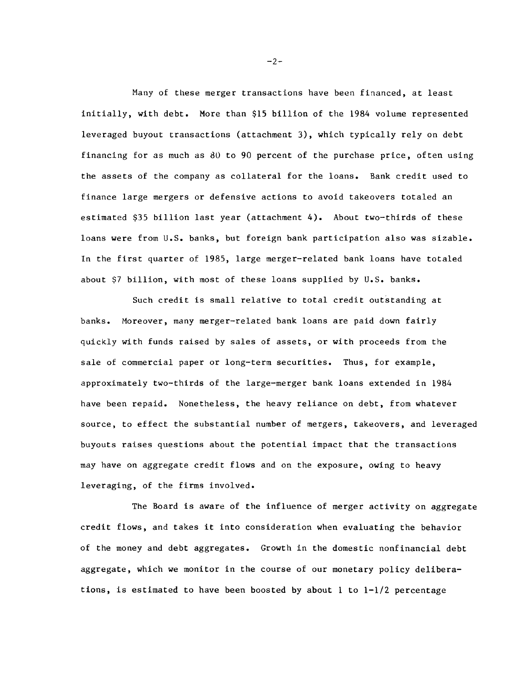**Many of these merger transactions have been financed, at least initially, with debt. More than \$15 billion of the 1984 volume represented leveraged buyout transactions (attachment 3), which typically rely on debt financing for as much as 80 to 90 percent of the purchase price, often using the assets of the company as collateral for the loans. Bank credit used to finance large mergers or defensive actions to avoid takeovers totaled an estimated \$35 billion last year (attachment 4). About two-thirds of these loans were from U.S. banks, but foreign bank participation also was sizable. In the first quarter of 1985, large merger-related bank loans have totaled about \$7 billion, with most of these loans supplied by U.S. banks.**

**Such credit is small relative to total credit outstanding at banks. Moreover, many merger-related bank loans are paid down fairly quickly with funds raised by sales of assets, or with proceeds from the sale of commercial paper or long-term securities. Thus, for example, approximately two-thirds of the large-merger bank loans extended in 1984 have been repaid. Nonetheless, the heavy reliance on debt, from whatever source, to effect the substantial number of mergers, takeovers, and leveraged buyouts raises questions about the potential impact that the transactions may have on aggregate credit flows and on the exposure, owing to heavy leveraging, of the firms involved.**

**The Board is aware of the influence of merger activity on aggregate credit flows, and takes it into consideration when evaluating the behavior of the money and debt aggregates. Growth in the domestic nonfinancial debt aggregate, which we monitor in the course of our monetary policy deliberations, is estimated to have been boosted by about 1 to 1-1/2 percentage**

 $-2-$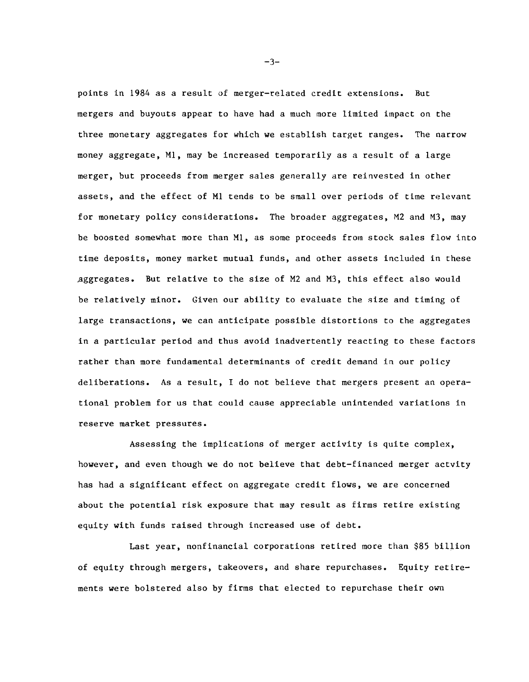**points in 1984 as a result of merger-related credit extensions. But mergers and buyouts appear to have had a much more limited impact on the three monetary aggregates for which we establish target ranges. The narrow money aggregate, Ml, may be increased temporarily as a result of a large merger, but proceeds from merger sales generally are reinvested in other assets, and the effect of Ml tends to be small over periods of time relevant for monetary policy considerations. The broader aggregates, M2 and M3, may be boosted somewhat more than Ml, as some proceeds from stock sales flow into time deposits, money market mutual funds, and other assets included in these .aggregates. But relative to the size of M2 and M3, this effect also would be relatively minor. Given our ability to evaluate the size and timing of large transactions, we can anticipate possible distortions to the aggregates in a particular period and thus avoid inadvertently reacting to these factors rather than more fundamental determinants of credit demand in our policy deliberations. As a result, I do not believe that mergers present an operational problem for us that could cause appreciable unintended variations in reserve market pressures.**

**Assessing the implications of merger activity is quite complex, however, and even though we do not believe that debt-financed merger actvity has had a significant effect on aggregate credit flows, we are concerned about the potential risk exposure that may result as firms retire existing equity with funds raised through increased use of debt.**

**Last year, nonfinancial corporations retired more than \$85 billion of equity through mergers, takeovers, and share repurchases. Equity retirements were bolstered also by firms that elected to repurchase their own**

 $-3-$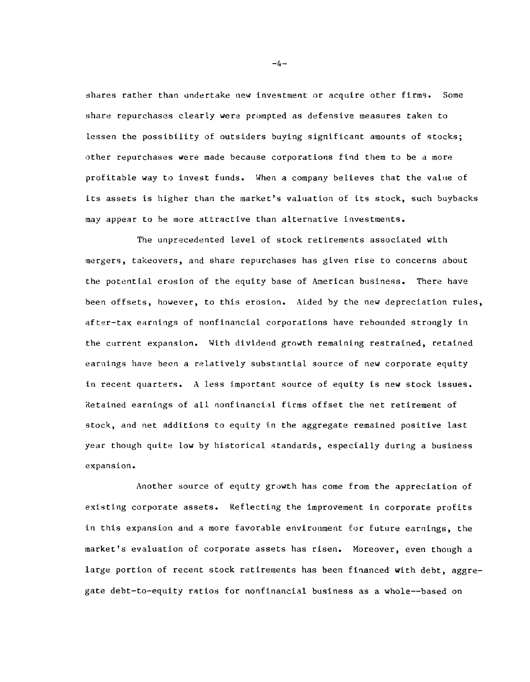**sliares rather than undertake new investment or acquire other firms. Some share repurchases clearly were prompted as defensive measures taken to lessen the possibility of outsiders buying significant amounts of stocks; other repurchases were made because corporations find them to be a more profitable way to invest funds. When a company believes that the value of its assets is higher than the market's valuation of its stock, such buybacks may appear to be more attractive than alternative investments.**

**The unprecedented level of stock retirements associated with mergers, takeovers, and share repurchases has given rise to concerns about the potential erosion of the equity base of American business. There have been offsets, however, to this erosion. Aided by the new depreciation rules, after-tax earnings of nonfinancial corporations have rebounded strongly in the current expansion. With dividend growth remaining restrained, retained earnings have been a relatively substantial source of new corporate equity in recent quarters. A less important source of equity is new stock issues. Retained earnings of all nonfinancial firms offset the net retirement of stock, and net additions to equity in the aggregate remained positive last year though quite low by historical standards, especially during a business expansion.**

**Another source of equity growth has come from the appreciation of existing corporate assets. Reflecting the improvement in corporate profits in this expansion and a more favorable environment for future earnings, the market's evaluation of corporate assets has risen. Moreover, even though a large portion of recent stock retirements has been financed with debt, aggregate debt-to-equity ratios for nonfinancial business as a whole— based on**

 $-4-$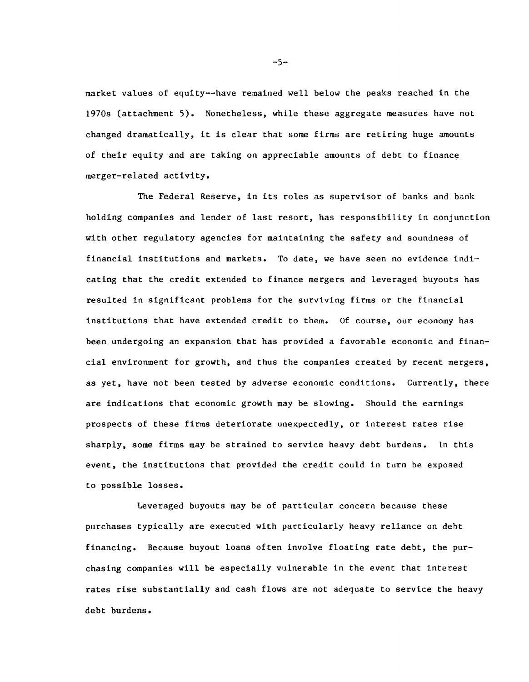**raarket values of equity— have remained well below the peaks reached in the 1970s (attachment 5). Nonetheless, while these aggregate measures have not changed dramatically, it is clear that some firms are retiring huge amounts of their equity and are taking on appreciable amounts of debt to finance merger-related activity.**

**The Federal Reserve, in its roles as supervisor of banks and bank holding companies and lender of last resort, has responsibility in conjunction with other regulatory agencies for maintaining the safety and soundness of financial institutions and markets. To date, we have seen no evidence indicating that the credit extended to finance mergers and leveraged buyouts has resulted in significant problems for the surviving firms or the financial institutions that have extended credit to them. Of course, our economy has been undergoing an expansion that has provided a favorable economic and financial environment for growth, and thus the companies created by recent mergers, as yet, have not been tested by adverse economic conditions. Currently, there are indications that economic growth may be slowing. Should the earnings prospects of these firms deteriorate unexpectedly, or interest rates rise sharply, some firms may be strained to service heavy debt burdens. In this event, the institutions that provided the credit could in turn be exposed to possible losses.**

**Leveraged buyouts may be of particular concern because these purchases typically are executed with particularly heavy reliance on debt financing. Because buyout loans often involve floating rate debt, the purchasing companies will be especially vulnerable in the event that interest rates rise substantially and cash flows are not adequate to service the heavy debt burdens.**

 $-5-$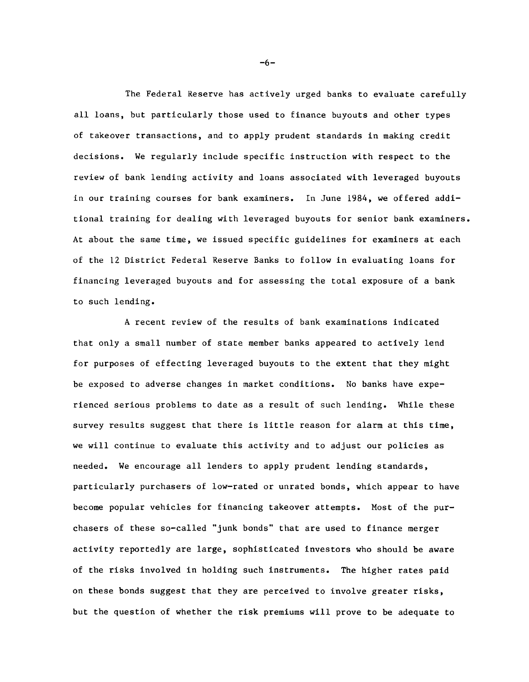**The Federal Reserve has actively urged banks to evaluate carefully all loans, but particularly those used to finance buyouts and other types of takeover transactions, and to apply prudent standards in making credit decisions. We regularly include specific instruction with respect to the review of bank lending activity and loans associated with leveraged buyouts in our training courses for bank examiners. In June 1984, we offered additional training for dealing with leveraged buyouts for senior bank examiners. At about the same time, we issued specific guidelines for examiners at each of the 12 District Federal Reserve Banks to follow in evaluating loans for financing leveraged buyouts and for assessing the total exposure of a bank to such lending.**

**A recent review of the results of bank examinations indicated that only a small number of state member banks appeared to actively lend for purposes of effecting leveraged buyouts to the extent that they might be exposed to adverse changes in market conditions. No banks have experienced serious problems to date as a result of such lending. While these survey results suggest that there is little reason for alarm at this time, we will continue to evaluate this activity and to adjust our policies as needed. We encourage all lenders to apply prudent lending standards, particularly purchasers of low-rated or unrated bonds, which appear to have become popular vehicles for financing takeover attempts. Most of the purchasers of these so-called "junk bonds" that are used to finance merger activity reportedly are large, sophisticated investors who should be aware of the risks involved in holding such instruments. The higher rates paid on these bonds suggest that they are perceived to involve greater risks, but the question of whether the risk premiums will prove to be adequate to**

-6-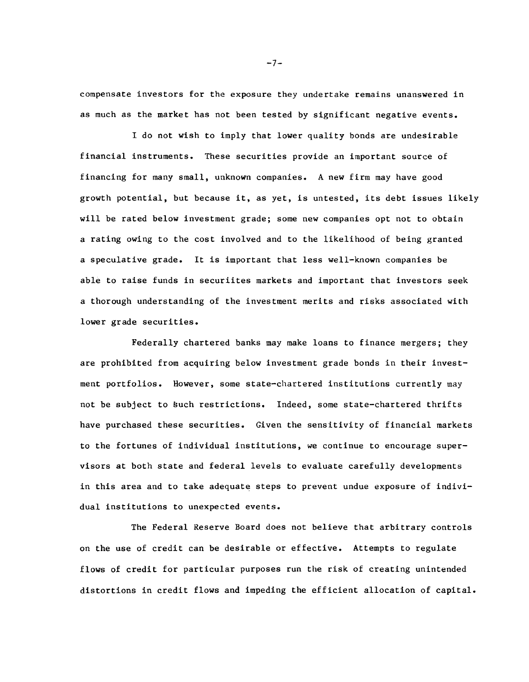**corapensate investors for the exposure they undertake remains unanswered in as much as the market has not been tested by significant negative events.**

**I do not wish to imply that lower quality bonds are undesirable financial instruments. These securities provide an important source of financing for many small, unknown companies. A new firm may have good growth potential, but because it, as yet, is untested, its debt issues likely will be rated below investment grade; some new companies opt not to obtain a rating owing to the cost involved and to the likelihood of being granted a speculative grade. It is important that less well-known companies be able to raise funds in securiites markets and important that investors seek a thorough understanding of the investment merits and risks associated with lower grade securities.**

**Federally chartered banks may make loans to finance mergers; they are prohibited from acquiring below investment grade bonds in their investment portfolios. However, some state-chartered institutions currently may not be subject to £uch restrictions. Indeed, some state-chartered thrifts have purchased these securities. Given the sensitivity of financial markets to the fortunes of individual institutions, we continue to encourage supervisors at both state and federal levels to evaluate carefully developments in this area and to take adequate steps to prevent undue exposure of individual institutions to unexpected events.**

**The Federal Reserve Board does not believe that arbitrary controls on the use of credit can be desirable or effective. Attempts to regulate flows of credit for particular purposes run the risk of creating unintended distortions in credit flows and impeding the efficient allocation of capital.**

 $-7-$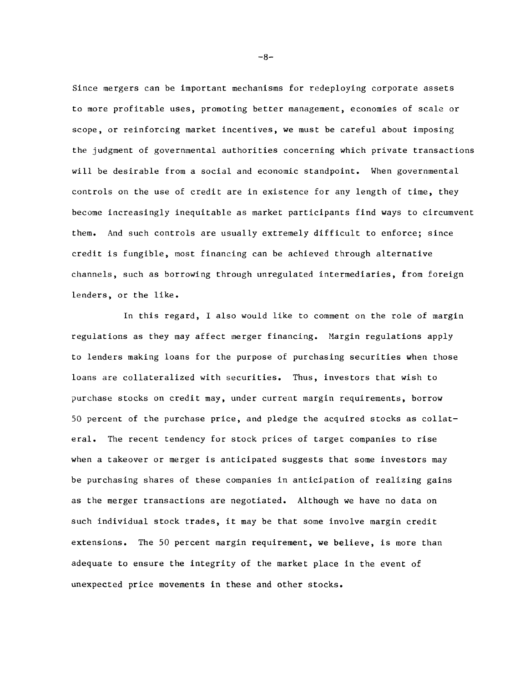**Since mergers can be important mechanisms for redeploying corporate assets to more profitable uses, promoting better management, economies of scale or scope, or reinforcing market incentives, we must be careful about imposing the judgment of governmental authorities concerning which private transactions will be desirable from a social and economic standpoint. When governmental controls on the use of credit are in existence for any length of time, they become increasingly inequitable as market participants find ways to circumvent them. And such controls are usually extremely difficult to enforce; since credit is fungible, most financing can be achieved through alternative channels, such as borrowing through unregulated intermediaries, from foreign lenders, or the like.**

**In this regard, I also would like to comment on the role of margin regulations as they may affect merger financing. Margin regulations apply to lenders making loans for the purpose of purchasing securities when those loans are collateralized with securities. Thus, investors that wish to purchase stocks on credit may, under current margin requirements, borrow 50 percent of the purchase price, and pledge the acquired stocks as collateral. The recent tendency for stock prices of target companies to rise when a takeover or merger is anticipated suggests that some investors may be purchasing shares of these companies in anticipation of realizing gains as the merger transactions are negotiated. Although we have no data on such individual stock trades, it may be that some involve margin credit extensions. The 50 percent margin requirement, we believe, is more than adequate to ensure the integrity of the market place in the event of unexpected price movements in these and other stocks.**

 $-8-$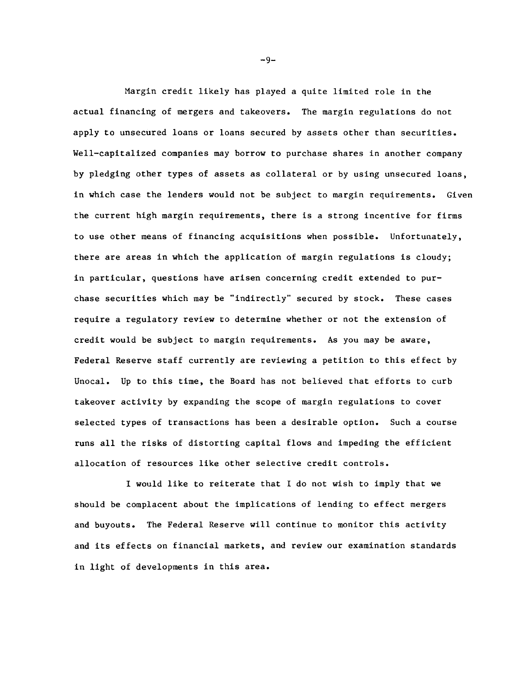**Margin credit likely has played a quite limited role in the actual financing of mergers and takeovers. The margin regulations do not apply to unsecured loans or loans secured by assets other than securities. Well-capitalized companies may borrow to purchase shares in another company by pledging other types of assets as collateral or by using unsecured loans, in which case the lenders would not be subject to margin requirements. Given the current high margin requirements, there is a strong incentive for firms to use other means of financing acquisitions when possible. Unfortunately, there are areas in which the application of margin regulations is cloudy; in particular, questions have arisen concerning credit extended to purchase securities which may be "indirectly" secured by stock. These cases require a regulatory review to determine whether or not the extension of credit would be subject to margin requirements. As you may be aware, Federal Reserve staff currently are reviewing a petition to this effect by Unocal. Up to this time, the Board has not believed that efforts to curb takeover activity by expanding the scope of margin regulations to cover selected types of transactions has been a desirable option. Such a course runs all the risks of distorting capital flows and impeding the efficient allocation of resources like other selective credit controls.**

**I would like to reiterate that I do not wish to imply that we should be complacent about the implications of lending to effect mergers and buyouts. The Federal Reserve will continue to monitor this activity and its effects on financial markets, and review our examination standards in light of developments in this area.**

 $-9-$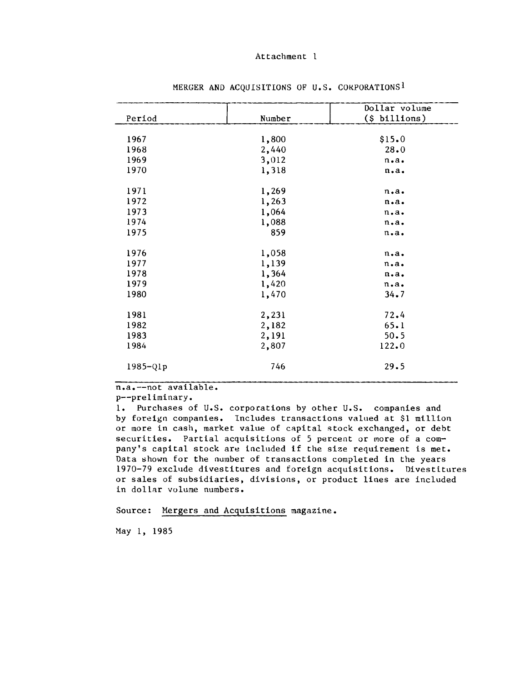|              |        | Dollar volume     |
|--------------|--------|-------------------|
| Period       | Number | $(\S$ billions)   |
|              |        |                   |
| 1967         | 1,800  | \$15.0            |
| 1968         | 2,440  | 28.0              |
| 1969         | 3,012  | $n \cdot a \cdot$ |
| 1970         | 1,318  | n.a.              |
| 1971         | 1,269  | $n \cdot a \cdot$ |
| 1972         | 1,263  | $n \cdot a \cdot$ |
| 1973         | 1,064  | $n \cdot a \cdot$ |
| 1974         | 1,088  | $n \cdot a \cdot$ |
| 1975         | 859    | $n \cdot a \cdot$ |
| 1976         | 1,058  | n.a.              |
| 1977         | 1,139  | $n \cdot a \cdot$ |
| 1978         | 1,364  | $n \cdot a \cdot$ |
| 1979         | 1,420  | $n \cdot a \cdot$ |
| 1980         | 1,470  | 34.7              |
| 1981         | 2,231  | 72.4              |
| 1982         | 2,182  | 65.1              |
| 1983         | 2,191  | 50.5              |
| 1984         | 2,807  | 122.0             |
| $1985 - Q1p$ | 746    | 29.5              |

MERGER AND ACQUISITIONS OF U.S. CORPORATIONS<sup>1</sup>

**n.a.— not available\***

**p— preliminary.**

1. Purchases of U.S. corporations by other U.S. companies and **by foreign companies. Includes transactions valued at \$1 million or more in cash, market value of capital stock exchanged, or debt securities. Partial acquisitions of 5 percent or more of a company's capital stock are included if the size requirement is met. Data shown for the number of transactions completed in the years 1970-79 exclude divestitures and foreign acquisitions. Divestitures or sales of subsidiaries, divisions, or product lines are included in dollar volume numbers.**

**Source: Mergers and Acquisitions magazine.**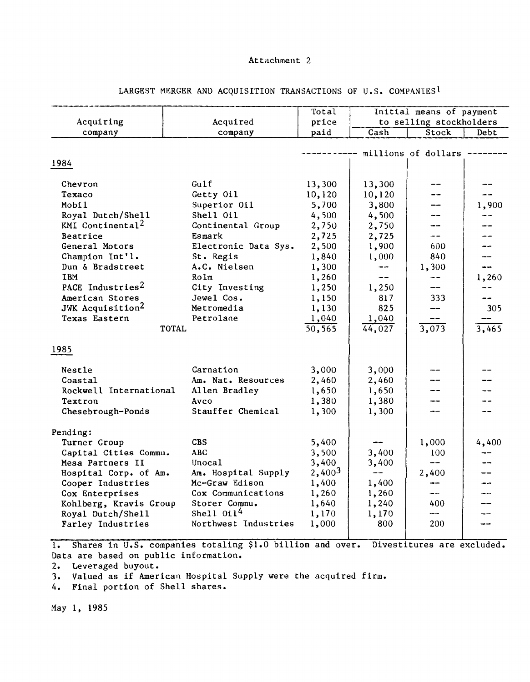|                              |                      | Total                |                          |                         |       |
|------------------------------|----------------------|----------------------|--------------------------|-------------------------|-------|
|                              |                      |                      | Initial means of payment |                         |       |
| Acquiring<br>Acquired        |                      | price                |                          | to selling stockholders |       |
| company<br>company           |                      | paid                 | $\overline{\text{Cash}}$ | Stock                   | Debt  |
|                              |                      |                      |                          |                         |       |
|                              |                      |                      |                          | -- millions of dollars  |       |
| 1984                         |                      |                      |                          |                         |       |
|                              |                      |                      |                          |                         |       |
| Chevron                      | Gulf                 | 13,300               | 13,300                   |                         |       |
| Texaco                       | Getty Oil            | 10,120               | 10,120                   |                         |       |
| Mobil                        | Superior Oil         | 5,700                | 3,800                    |                         | 1,900 |
| Royal Dutch/Shell            | Shell Oil            | 4,500                | 4,500                    |                         |       |
| KMI Continental <sup>2</sup> | Continental Group    | 2,750                | 2,750                    |                         |       |
| Beatrice                     | Esmark               | 2,725                | 2,725                    | $- -$                   |       |
| General Motors               | Electronic Data Sys. | 2,500                | 1,900                    | 600                     | --    |
| Champion Int'l.              | St. Regis            | 1,840                | 1,000                    | 840                     |       |
| Dun & Bradstreet             | A.C. Nielsen         | 1,300<br>1,260       | --                       | 1,300                   | --    |
|                              | <b>IBM</b><br>Rolm   |                      | $\qquad \qquad -$        | --                      | 1,260 |
| PACE Industries <sup>2</sup> | City Investing       | 1,250                | 1,250                    |                         |       |
| American Stores              | Jewel Cos.           | 1,150                | 817                      | 333                     |       |
| JWK Acquisition <sup>2</sup> | Metromedia           | 1,130                | 825                      | --                      | 305   |
| Texas Eastern                | Petrolane            | 1,040                | 1,040                    |                         |       |
| <b>TOTAL</b>                 |                      | $\overline{50, 565}$ | 44,027                   | 3,073                   | 3,465 |
|                              |                      |                      |                          |                         |       |
| 1985                         |                      |                      |                          |                         |       |
| Nestle                       | Carnation            | 3,000                | 3,000                    |                         |       |
| Coastal                      | Am. Nat. Resources   | 2,460                | 2,460                    |                         |       |
| Rockwell International       | Allen Bradley        |                      | 1,650                    |                         |       |
| Textron                      | Avco                 |                      | 1,380                    |                         |       |
| Chesebrough-Ponds            | Stauffer Chemical    |                      | 1,300                    |                         |       |
|                              |                      | 1,300                |                          |                         |       |
| Pending:                     |                      |                      |                          |                         |       |
| Turner Group                 | <b>CBS</b>           | 5,400                |                          | 1,000                   | 4,400 |
| Capital Cities Commu.        | <b>ABC</b>           | 3,500                | 3,400                    | 100                     |       |
| Mesa Partners II             | Unocal               | 3,400                | 3,400                    | $\frac{1}{2}$           |       |
| Hospital Corp. of Am.        | Am. Hospital Supply  | 2,4003               | $\overline{\phantom{m}}$ | 2,400                   |       |
| Cooper Industries            | Mc-Graw Edison       | 1,400                | 1,400                    | --                      | --    |
| Cox Enterprises              | Cox Communications   | 1,260                | 1,260                    | $- -$                   |       |
| Kohlberg, Kravis Group       | Storer Commu.        | 1,640                | 1,240                    | 400                     |       |
| Royal Dutch/Shell            | Shell $0i14$         | 1,170                | 1,170                    |                         |       |
| Farley Industries            | Northwest Industries | 1,000                | 800                      | 200                     |       |
|                              |                      |                      |                          |                         |       |

# **LARGEST MERGER AND ACQUISITION TRANSACTIONS OF U.S. COMPANIES I**

1. Shares in U.S. companies totaling \$1.0 billion and over. Divestitures are excluded. **Data are based on public information.**

**2. Leveraged buyout.**

**3. Valued as if American Hospital Supply were the acquired firm.**

**4. Final portion of Shell shares.**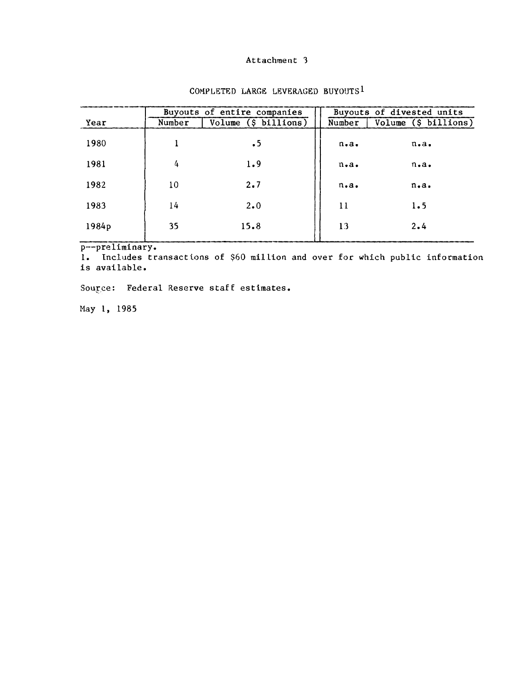|       |        | Buyouts of entire companies |                   | Buyouts of divested units |  |  |
|-------|--------|-----------------------------|-------------------|---------------------------|--|--|
| Year  | Number | Volume (\$ billions)        | Number            | Volume (\$ billions)      |  |  |
| 1980  |        | $\cdot$ 5                   | $n \cdot a \cdot$ | $n \cdot a \cdot$         |  |  |
| 1981  | 4      | 1.9                         | $n \cdot a \cdot$ | $n \cdot a \cdot$         |  |  |
| 1982  | 10     | 2.7                         | $n \cdot a \cdot$ | $n \cdot a \cdot$         |  |  |
| 1983  | 14     | $2 \cdot 0$                 | 11                | 1.5                       |  |  |
| 1984p | 35     | 15.8                        | 13                | 2.4                       |  |  |

# **COMPLETED LARGE LEVERAGED BUYOUTS1**

**p— preliminary.**

**1. Includes transactions of \$60 million and over for which public information is available.**

**Source: Federal Reserve staff estimates.**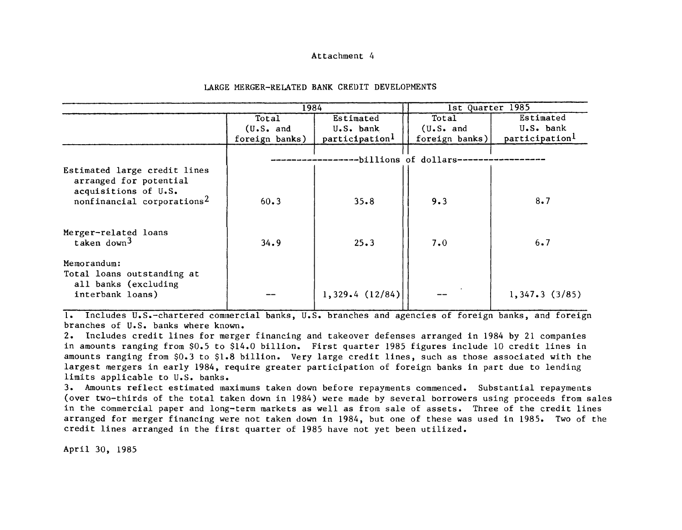#### **LARGE MERGER-RELATED BANK CREDIT DEVELOPMENTS**

|                                                                                          | 1984           |                            | 1st Quarter 1985 |               |
|------------------------------------------------------------------------------------------|----------------|----------------------------|------------------|---------------|
|                                                                                          | Total          | Estimated                  | Total            | Estimated     |
|                                                                                          | (U.S. and      | U.S. bank                  | (U.S. and        | U.S. bank     |
|                                                                                          | foreign banks) | participation <sup>1</sup> | foreign banks)   | participation |
| --billions of dollars--<br>Estimated large credit lines                                  |                |                            |                  |               |
| arranged for potential<br>acquisitions of U.S.<br>nonfinancial corporations <sup>2</sup> | 60.3           | 35.8                       | 9.3              | 8.7           |
| Merger-related loans<br>taken down $3$                                                   | 34.9           | 25.3                       | 7.0              | 6.7           |
| Memorandum:<br>Total loans outstanding at<br>all banks (excluding                        |                |                            |                  |               |
| interbank loans)                                                                         |                | 1,329.4(12/84)             |                  | 1,347.3(3/85) |

**1. Includes U.S.-chartered commercial banks, U.S. branches and agencies of foreign banks, and foreign branches of U.S. banks where known.**

**2. Includes credit lines for merger financing and takeover defenses arranged in 1984 by 21 companies in amounts ranging from \$0.5 to \$14.0 billion. First quarter 1985 figures include 10 credit lines in amounts ranging from \$0.3 to \$1.8 billion. Very large credit lines, such as those associated with the largest mergers in early 1984, require greater participation of foreign banks in part due to lending limits applicable to U.S. banks.**

**3. Amounts reflect estimated maximums taken down before repayments commenced. Substantial repayments (over two-thirds of the total taken down in 1984) were made by several borrowers using proceeds from sales in the commercial paper and long-term markets as well as from sale of assets. Three of the credit lines arranged for merger financing were not taken down in 1984, but one of these was used in 1985. Two of the credit lines arranged in the first quarter of 1985 have not yet been utilized.**

**April 30, 1985**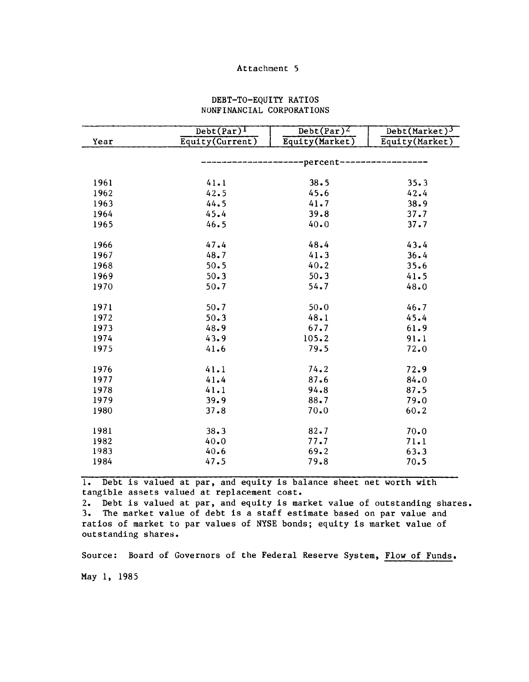# **DEBT-TO-EQUITY RATIOS NONFINANCIAL CORPORATIONS**

|      | $\overline{\text{Debt}(\text{Par})^{\text{I}}}$ | $Det(Par)^{2}$  | Debt(Market) <sup>3</sup> |
|------|-------------------------------------------------|-----------------|---------------------------|
| Year | Equity(Current)                                 | Equity(Market)  | Equity(Market)            |
|      |                                                 |                 |                           |
|      |                                                 | ----percent---- |                           |
|      |                                                 |                 |                           |
| 1961 | 41.1                                            | 38.5            | 35.3                      |
| 1962 | 42.5                                            | 45.6            | 42.4                      |
| 1963 | 44.5                                            | 41.7            | 38.9                      |
| 1964 | 45.4                                            | 39.8            | 37.7                      |
| 1965 | 46.5                                            | 40.0            | 37.7                      |
|      |                                                 |                 |                           |
| 1966 | 47.4                                            | 48.4            | 43.4                      |
| 1967 | 48.7                                            | 41.3            | 36.4                      |
| 1968 | 50.5                                            | 40.2            | 35.6                      |
| 1969 | 50.3                                            | 50.3            | 41.5                      |
| 1970 | 50.7                                            | 54.7            | 48.0                      |
| 1971 | 50.7                                            | 50.0            | 46.7                      |
| 1972 | 50.3                                            | 48.1            | 45.4                      |
| 1973 | 48.9                                            | 67.7            | 61.9                      |
| 1974 | 43.9                                            | 105.2           | 91.1                      |
| 1975 | 41.6                                            | 79.5            | 72.0                      |
|      |                                                 |                 |                           |
| 1976 | 41.1                                            | 74.2            | 72.9                      |
| 1977 | 41.4                                            | 87.6            | 84.0                      |
| 1978 | 41.1                                            | 94.8            | 87.5                      |
| 1979 | 39.9                                            | 88.7            | 79.0                      |
| 1980 | 37.8                                            | 70.0            | $60 - 2$                  |
|      |                                                 |                 |                           |
| 1981 | 38.3                                            | 82.7            | 70.0                      |
| 1982 | 40.0                                            | 77.7            | 71.1                      |
| 1983 | 40.6                                            | 69.2            | 63.3                      |
| 1984 | 47.5                                            | 79.8            | 70.5                      |

**1. Debt is valued at par, and equity is balance sheet net worth with tangible assets valued at replacement cost.**

**2. Debt is valued at par, and equity is market value of outstanding shares. 3. The market value of debt is a staff estimate based on par value and ratios of market to par values of NYSE bonds; equity is market value of outstanding shares.**

**Source: Board of Governors of the Federal Reserve System, Flow of Funds.**